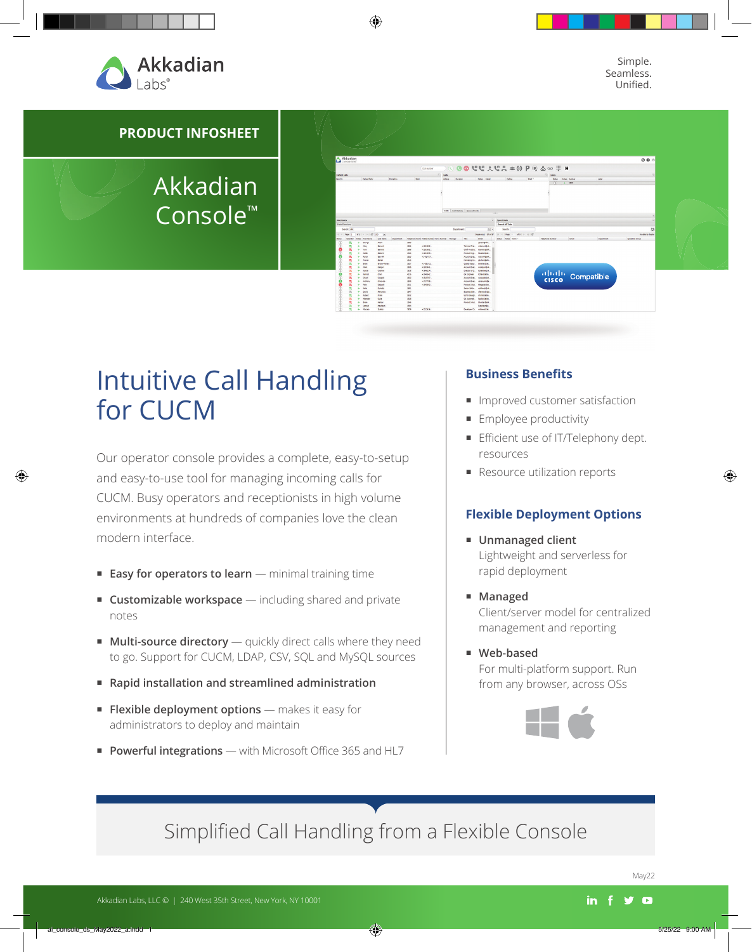

Simple. Seamless. Unified.



## Akkadian Console™



# Intuitive Call Handling for CUCM

Our operator console provides a complete, easy-to-setup and easy-to-use tool for managing incoming calls for CUCM. Busy operators and receptionists in high volume environments at hundreds of companies love the clean modern interface.

- **Easy for operators to learn** minimal training time
- **Customizable workspace** including shared and private notes
- **Multi-source directory** quickly direct calls where they need to go. Support for CUCM, LDAP, CSV, SQL and MySQL sources
- **Rapid installation and streamlined administration**
- **Flexible deployment options** makes it easy for administrators to deploy and maintain
- **Powerful integrations** with Microsoft Office 365 and HL7

### **Business Benefits**

- **Improved customer satisfaction**
- **Employee productivity**
- **Efficient use of IT/Telephony dept.** resources
- **Resource utilization reports**

### **Flexible Deployment Options**

- **Unmanaged client** Lightweight and serverless for rapid deployment
- **Managed** Client/server model for centralized management and reporting
- **Web-based** For multi-platform support. Run from any browser, across OSs



## Simplified Call Handling from a Flexible Console